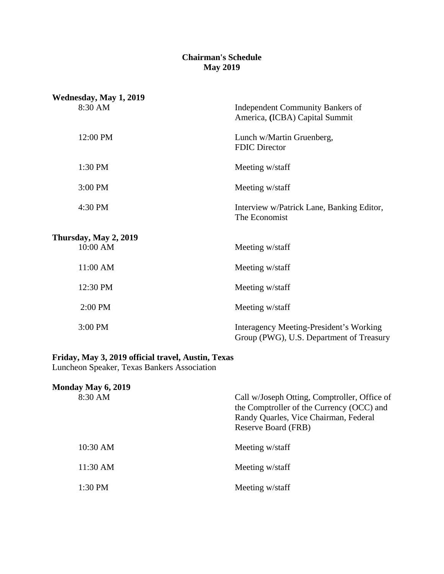# **Chairman's Schedule May 2019**

| Wednesday, May 1, 2019 |                                                                                     |
|------------------------|-------------------------------------------------------------------------------------|
| 8:30 AM                | <b>Independent Community Bankers of</b><br>America, (ICBA) Capital Summit           |
| 12:00 PM               | Lunch w/Martin Gruenberg,<br><b>FDIC Director</b>                                   |
| 1:30 PM                | Meeting w/staff                                                                     |
| 3:00 PM                | Meeting w/staff                                                                     |
| 4:30 PM                | Interview w/Patrick Lane, Banking Editor,<br>The Economist                          |
| Thursday, May 2, 2019  |                                                                                     |
| 10:00 AM               | Meeting w/staff                                                                     |
| 11:00 AM               | Meeting w/staff                                                                     |
| 12:30 PM               | Meeting w/staff                                                                     |
| 2:00 PM                | Meeting w/staff                                                                     |
| 3:00 PM                | Interagency Meeting-President's Working<br>Group (PWG), U.S. Department of Treasury |

## **Friday, May 3, 2019 official travel, Austin, Texas**

Luncheon Speaker, Texas Bankers Association

| Call w/Joseph Otting, Comptroller, Office of<br>the Comptroller of the Currency (OCC) and<br>Randy Quarles, Vice Chairman, Federal<br>Reserve Board (FRB) |
|-----------------------------------------------------------------------------------------------------------------------------------------------------------|
| Meeting w/staff                                                                                                                                           |
| Meeting w/staff                                                                                                                                           |
| Meeting w/staff                                                                                                                                           |
|                                                                                                                                                           |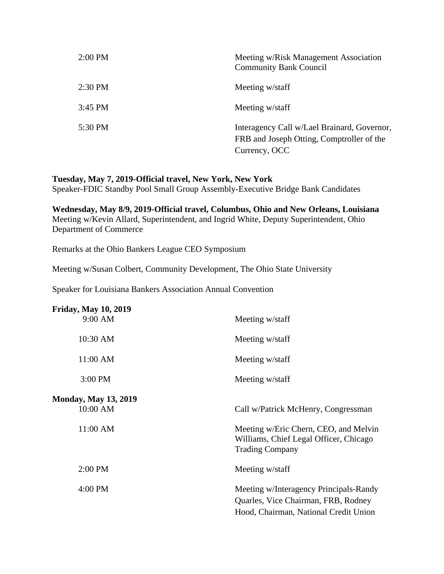| $2:00$ PM | Meeting w/Risk Management Association<br><b>Community Bank Council</b>                                    |
|-----------|-----------------------------------------------------------------------------------------------------------|
| $2:30$ PM | Meeting w/staff                                                                                           |
| $3:45$ PM | Meeting w/staff                                                                                           |
| 5:30 PM   | Interagency Call w/Lael Brainard, Governor,<br>FRB and Joseph Otting, Comptroller of the<br>Currency, OCC |

# **Tuesday, May 7, 2019-Official travel, New York, New York**

Speaker-FDIC Standby Pool Small Group Assembly-Executive Bridge Bank Candidates

**Wednesday, May 8/9, 2019-Official travel, Columbus, Ohio and New Orleans, Louisiana** Meeting w/Kevin Allard, Superintendent, and Ingrid White, Deputy Superintendent, Ohio Department of Commerce

Remarks at the Ohio Bankers League CEO Symposium

Meeting w/Susan Colbert, Community Development, The Ohio State University

Speaker for Louisiana Bankers Association Annual Convention

| <b>Friday, May 10, 2019</b> |                                                                                                                        |
|-----------------------------|------------------------------------------------------------------------------------------------------------------------|
| 9:00 AM                     | Meeting w/staff                                                                                                        |
| 10:30 AM                    | Meeting w/staff                                                                                                        |
| 11:00 AM                    | Meeting w/staff                                                                                                        |
| 3:00 PM                     | Meeting w/staff                                                                                                        |
| <b>Monday, May 13, 2019</b> |                                                                                                                        |
| 10:00 AM                    | Call w/Patrick McHenry, Congressman                                                                                    |
| 11:00 AM                    | Meeting w/Eric Chern, CEO, and Melvin<br>Williams, Chief Legal Officer, Chicago<br><b>Trading Company</b>              |
| $2:00$ PM                   | Meeting w/staff                                                                                                        |
| 4:00 PM                     | Meeting w/Interagency Principals-Randy<br>Quarles, Vice Chairman, FRB, Rodney<br>Hood, Chairman, National Credit Union |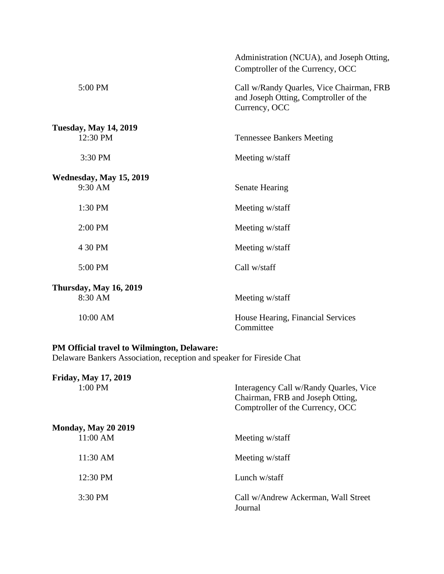|                               | Administration (NCUA), and Joseph Otting,<br>Comptroller of the Currency, OCC                      |
|-------------------------------|----------------------------------------------------------------------------------------------------|
| 5:00 PM                       | Call w/Randy Quarles, Vice Chairman, FRB<br>and Joseph Otting, Comptroller of the<br>Currency, OCC |
| <b>Tuesday, May 14, 2019</b>  |                                                                                                    |
| 12:30 PM                      | <b>Tennessee Bankers Meeting</b>                                                                   |
| 3:30 PM                       | Meeting w/staff                                                                                    |
| Wednesday, May 15, 2019       |                                                                                                    |
| 9:30 AM                       | <b>Senate Hearing</b>                                                                              |
| 1:30 PM                       | Meeting w/staff                                                                                    |
| 2:00 PM                       | Meeting w/staff                                                                                    |
| 4 30 PM                       | Meeting w/staff                                                                                    |
| 5:00 PM                       | Call w/staff                                                                                       |
| <b>Thursday, May 16, 2019</b> |                                                                                                    |
| 8:30 AM                       | Meeting w/staff                                                                                    |
| 10:00 AM                      | House Hearing, Financial Services<br>Committee                                                     |

#### **PM Official travel to Wilmington, Delaware:**

Delaware Bankers Association, reception and speaker for Fireside Chat

| <b>Friday, May 17, 2019</b> |                                                                                                                |
|-----------------------------|----------------------------------------------------------------------------------------------------------------|
| $1:00$ PM                   | Interagency Call w/Randy Quarles, Vice<br>Chairman, FRB and Joseph Otting,<br>Comptroller of the Currency, OCC |
| <b>Monday, May 20 2019</b>  |                                                                                                                |
| $11:00$ AM                  | Meeting w/staff                                                                                                |
| 11:30 AM                    | Meeting w/staff                                                                                                |
| $12:30 \text{ PM}$          | Lunch w/staff                                                                                                  |
| $3:30$ PM                   | Call w/Andrew Ackerman, Wall Street<br>Journal                                                                 |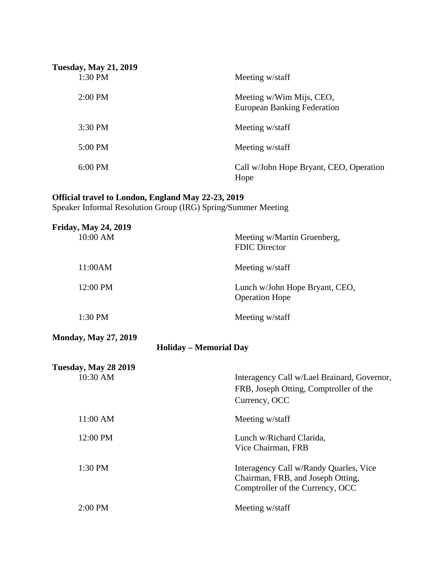| <b>Tuesday, May 21, 2019</b> |                                                                |
|------------------------------|----------------------------------------------------------------|
| 1:30 PM                      | Meeting w/staff                                                |
| $2:00$ PM                    | Meeting w/Wim Mijs, CEO,<br><b>European Banking Federation</b> |
| 3:30 PM                      | Meeting w/staff                                                |
| 5:00 PM                      | Meeting w/staff                                                |
| $6:00$ PM                    | Call w/John Hope Bryant, CEO, Operation<br>Hope                |

### **Official travel to London, England May 22-23, 2019**

Speaker Informal Resolution Group (IRG) Spring/Summer Meeting

| <b>Friday, May 24, 2019</b>                                  |                                                                                                                 |
|--------------------------------------------------------------|-----------------------------------------------------------------------------------------------------------------|
| 10:00 AM                                                     | Meeting w/Martin Gruenberg,<br><b>FDIC Director</b>                                                             |
| 11:00AM                                                      | Meeting w/staff                                                                                                 |
| 12:00 PM                                                     | Lunch w/John Hope Bryant, CEO,<br><b>Operation Hope</b>                                                         |
| 1:30 PM                                                      | Meeting w/staff                                                                                                 |
| <b>Monday, May 27, 2019</b><br><b>Holiday - Memorial Day</b> |                                                                                                                 |
| <b>Tuesday, May 28 2019</b>                                  |                                                                                                                 |
| 10:30 AM                                                     | Interagency Call w/Lael Brainard, Governor,<br>FRB, Joseph Otting, Comptroller of the<br>Currency, OCC          |
| 11:00 AM                                                     | Meeting w/staff                                                                                                 |
| 12:00 PM                                                     | Lunch w/Richard Clarida,<br>Vice Chairman, FRB                                                                  |
| 1:30 PM                                                      | Interagency Call w/Randy Quarles, Vice<br>Chairman, FRB, and Joseph Otting,<br>Comptroller of the Currency, OCC |
| 2:00 PM                                                      | Meeting w/staff                                                                                                 |